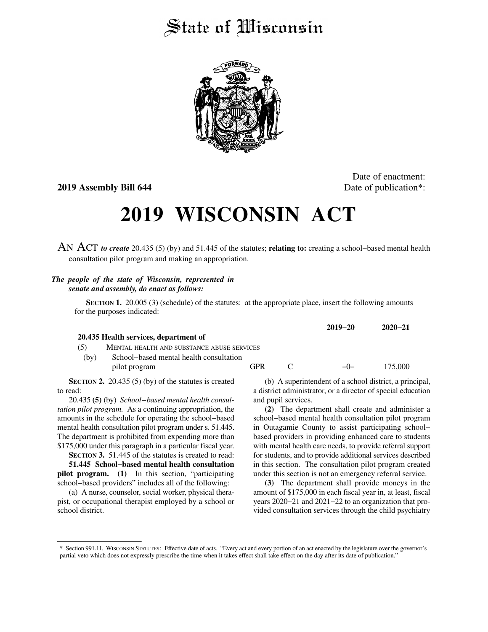## State of Wisconsin



**2019 Assembly Bill 644** Date of publication<sup>\*</sup>:

Date of enactment:

## **2019 WISCONSIN ACT**

AN ACT *to create* 20.435 (5) (by) and 51.445 of the statutes; **relating to:** creating a school−based mental health consultation pilot program and making an appropriation.

## *The people of the state of Wisconsin, represented in senate and assembly, do enact as follows:*

**SECTION 1.** 20.005 (3) (schedule) of the statutes: at the appropriate place, insert the following amounts for the purposes indicated:

|      |                                                             |            |               | $2019 - 20$                                       | $2020 - 21$ |
|------|-------------------------------------------------------------|------------|---------------|---------------------------------------------------|-------------|
|      | 20.435 Health services, department of                       |            |               |                                                   |             |
| (5)  | MENTAL HEALTH AND SUBSTANCE ABUSE SERVICES                  |            |               |                                                   |             |
| (by) | School–based mental health consultation<br>pilot program    | <b>GPR</b> | $\mathcal{C}$ | $-(-$                                             | 175,000     |
|      | <b>ECTION 2.</b> 20.435 (5) (by) of the statutes is created |            |               | (b) A superintendent of a school district a princ |             |

**SECTION 2.** 20.435 (5) (by) of the statutes is created to read:

20.435 **(5)** (by) *School−based mental health consultation pilot program.* As a continuing appropriation, the amounts in the schedule for operating the school−based mental health consultation pilot program under s. 51.445. The department is prohibited from expending more than \$175,000 under this paragraph in a particular fiscal year. **SECTION** 3. 51.445 of the statutes is created to read:

**51.445 School−based mental health consultation pilot program. (1)** In this section, "participating school−based providers" includes all of the following:

(a) A nurse, counselor, social worker, physical therapist, or occupational therapist employed by a school or school district.

(b) A superintendent of a school district, a principal, a district administrator, or a director of special education and pupil services.

**(2)** The department shall create and administer a school−based mental health consultation pilot program in Outagamie County to assist participating school− based providers in providing enhanced care to students with mental health care needs, to provide referral support for students, and to provide additional services described in this section. The consultation pilot program created under this section is not an emergency referral service.

**(3)** The department shall provide moneys in the amount of \$175,000 in each fiscal year in, at least, fiscal years 2020−21 and 2021−22 to an organization that provided consultation services through the child psychiatry

<sup>\*</sup> Section 991.11, WISCONSIN STATUTES: Effective date of acts. "Every act and every portion of an act enacted by the legislature over the governor's partial veto which does not expressly prescribe the time when it takes effect shall take effect on the day after its date of publication."